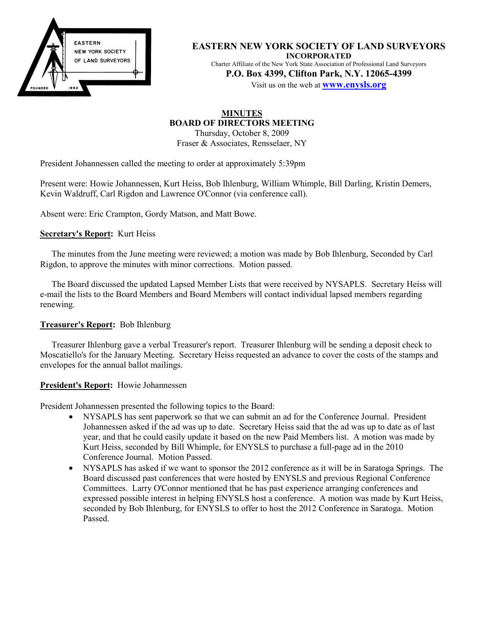

**EASTERN NEW YORK SOCIETY OF LAND SURVEYORS INCORPORATED** Charter Affiliate of the New York State Association of Professional Land Surveyors **P.O. Box 4399, Clifton Park, N.Y. 12065-4399**

Visit us on the web at **www.enysls.org**

# **MINUTES BOARD OF DIRECTORS MEETING**

Thursday, October 8, 2009 Fraser & Associates, Rensselaer, NY

President Johannessen called the meeting to order at approximately 5:39pm

Present were: Howie Johannessen, Kurt Heiss, Bob Ihlenburg, William Whimple, Bill Darling, Kristin Demers, Kevin Waldruff, Carl Rigdon and Lawrence O'Connor (via conference call).

Absent were: Eric Crampton, Gordy Matson, and Matt Bowe.

## **Secretary's Report:** Kurt Heiss

The minutes from the June meeting were reviewed; a motion was made by Bob Ihlenburg, Seconded by Carl Rigdon, to approve the minutes with minor corrections. Motion passed.

The Board discussed the updated Lapsed Member Lists that were received by NYSAPLS. Secretary Heiss will e-mail the lists to the Board Members and Board Members will contact individual lapsed members regarding renewing.

## **Treasurer's Report:** Bob Ihlenburg

Treasurer Ihlenburg gave a verbal Treasurer's report. Treasurer Ihlenburg will be sending a deposit check to Moscatiello's for the January Meeting. Secretary Heiss requested an advance to cover the costs of the stamps and envelopes for the annual ballot mailings.

## **President's Report:** Howie Johannessen

President Johannessen presented the following topics to the Board:

- NYSAPLS has sent paperwork so that we can submit an ad for the Conference Journal. President Johannessen asked if the ad was up to date. Secretary Heiss said that the ad was up to date as of last year, and that he could easily update it based on the new Paid Members list. A motion was made by Kurt Heiss, seconded by Bill Whimple, for ENYSLS to purchase a full-page ad in the 2010 Conference Journal. Motion Passed.
- NYSAPLS has asked if we want to sponsor the 2012 conference as it will be in Saratoga Springs. The Board discussed past conferences that were hosted by ENYSLS and previous Regional Conference Committees. Larry O'Connor mentioned that he has past experience arranging conferences and expressed possible interest in helping ENYSLS host a conference. A motion was made by Kurt Heiss, seconded by Bob Ihlenburg, for ENYSLS to offer to host the 2012 Conference in Saratoga. Motion Passed.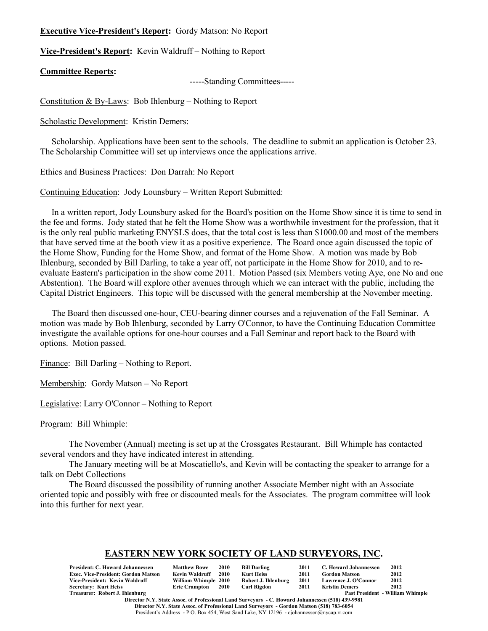## **Executive Vice-President's Report:** Gordy Matson: No Report

**Vice-President's Report:** Kevin Waldruff – Nothing to Report

#### **Committee Reports:**

-----Standing Committees-----

Constitution & By-Laws: Bob Ihlenburg – Nothing to Report

Scholastic Development: Kristin Demers:

Scholarship. Applications have been sent to the schools. The deadline to submit an application is October 23. The Scholarship Committee will set up interviews once the applications arrive.

Ethics and Business Practices: Don Darrah: No Report

Continuing Education: Jody Lounsbury – Written Report Submitted:

In a written report, Jody Lounsbury asked for the Board's position on the Home Show since it is time to send in the fee and forms. Jody stated that he felt the Home Show was a worthwhile investment for the profession, that it is the only real public marketing ENYSLS does, that the total cost is less than \$1000.00 and most of the members that have served time at the booth view it as a positive experience. The Board once again discussed the topic of the Home Show, Funding for the Home Show, and format of the Home Show. A motion was made by Bob Ihlenburg, seconded by Bill Darling, to take a year off, not participate in the Home Show for 2010, and to reevaluate Eastern's participation in the show come 2011. Motion Passed (six Members voting Aye, one No and one Abstention). The Board will explore other avenues through which we can interact with the public, including the Capital District Engineers. This topic will be discussed with the general membership at the November meeting.

The Board then discussed one-hour, CEU-bearing dinner courses and a rejuvenation of the Fall Seminar. A motion was made by Bob Ihlenburg, seconded by Larry O'Connor, to have the Continuing Education Committee investigate the available options for one-hour courses and a Fall Seminar and report back to the Board with options. Motion passed.

Finance: Bill Darling – Nothing to Report.

Membership: Gordy Matson – No Report

Legislative: Larry O'Connor – Nothing to Report

Program: Bill Whimple:

The November (Annual) meeting is set up at the Crossgates Restaurant. Bill Whimple has contacted several vendors and they have indicated interest in attending.

The January meeting will be at Moscatiello's, and Kevin will be contacting the speaker to arrange for a talk on Debt Collections

The Board discussed the possibility of running another Associate Member night with an Associate oriented topic and possibly with free or discounted meals for the Associates. The program committee will look into this further for next year.

## **EASTERN NEW YORK SOCIETY OF LAND SURVEYORS, INC.**

| <b>President: C. Howard Johannessen</b>    | <b>Matthew Bowe</b>  | 2010 | <b>Bill Darling</b> | 2011 | C. Howard Johannessen | 2012                                    |
|--------------------------------------------|----------------------|------|---------------------|------|-----------------------|-----------------------------------------|
| <b>Exec. Vice-President: Gordon Matson</b> | Kevin Waldruff       | 2010 | Kurt Heiss          | 2011 | <b>Gordon Matson</b>  | 2012                                    |
| Vice-President: Kevin Waldruff             | William Whimple 2010 |      | Robert J. Ihlenburg | 2011 | Lawrence J. O'Connor  | 2012                                    |
| <b>Secretary: Kurt Heiss</b>               | Eric Crampton 2010   |      | Carl Rigdon         | 2011 | <b>Kristin Demers</b> | 2012                                    |
| Treasurer: Robert J. Ihlenburg             |                      |      |                     |      |                       | <b>Past President - William Whimple</b> |

**Director N.Y. State Assoc. of Professional Land Surveyors - C. Howard Johannessen (518) 439-9981 Director N.Y. State Assoc. of Professional Land Surveyors - Gordon Matson (518) 783-6054** President's Address - P.O. Box 454, West Sand Lake, NY 12196 - cjohannessen@nycap.rr.com